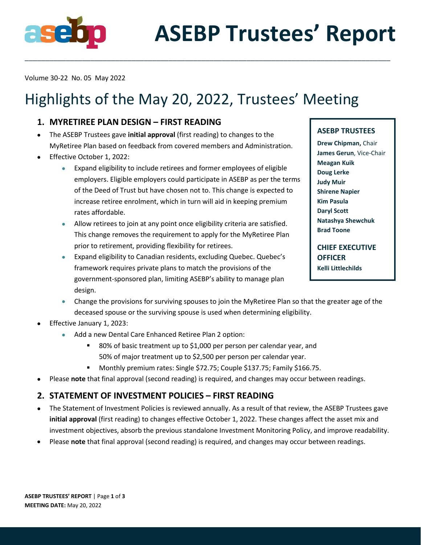

Volume 30-22 No. 05 May 2022

# Highlights of the May 20, 2022, Trustees' Meeting

\_\_\_\_\_\_\_\_\_\_\_\_\_\_\_\_\_\_\_\_\_\_\_\_\_\_\_\_\_\_\_\_\_\_\_\_\_\_\_\_\_\_\_\_\_\_\_\_\_\_\_\_\_\_\_\_\_\_\_\_\_\_\_\_\_\_\_\_\_\_\_\_\_\_\_\_\_\_\_\_\_\_\_\_\_\_\_\_\_

# **1. MYRETIREE PLAN DESIGN – FIRST READING**

- The ASEBP Trustees gave **initial approval** (first reading) to changes to the MyRetiree Plan based on feedback from covered members and Administration.
- Effective October 1, 2022:
	- Expand eligibility to include retirees and former employees of eligible employers. Eligible employers could participate in ASEBP as per the terms of the Deed of Trust but have chosen not to. This change is expected to increase retiree enrolment, which in turn will aid in keeping premium rates affordable.
	- Allow retirees to join at any point once eligibility criteria are satisfied. This change removes the requirement to apply for the MyRetiree Plan prior to retirement, providing flexibility for retirees.
	- Expand eligibility to Canadian residents, excluding Quebec. Quebec's framework requires private plans to match the provisions of the government-sponsored plan, limiting ASEBP's ability to manage plan design.

#### **ASEBP TRUSTEES**

**Drew Chipman,** Chair **James Gerun**, Vice-Chair **Meagan Kuik Doug Lerke Judy Muir Shirene Napier Kim Pasula Daryl Scott Natashya Shewchuk Brad Toone**

**CHIEF EXECUTIVE OFFICER Kelli Littlechilds**

- Change the provisions for surviving spouses to join the MyRetiree Plan so that the greater age of the deceased spouse or the surviving spouse is used when determining eligibility.
- Effective January 1, 2023:
	- Add a new Dental Care Enhanced Retiree Plan 2 option:
		- 80% of basic treatment up to \$1,000 per person per calendar year, and 50% of major treatment up to \$2,500 per person per calendar year.
		- Monthly premium rates: Single \$72.75; Couple \$137.75; Family \$166.75.
- Please **note** that final approval (second reading) is required, and changes may occur between readings.

# **2. STATEMENT OF INVESTMENT POLICIES – FIRST READING**

- The Statement of Investment Policies is reviewed annually. As a result of that review, the ASEBP Trustees gave **initial approval** (first reading) to changes effective October 1, 2022. These changes affect the asset mix and investment objectives, absorb the previous standalone Investment Monitoring Policy, and improve readability.
- Please **note** that final approval (second reading) is required, and changes may occur between readings.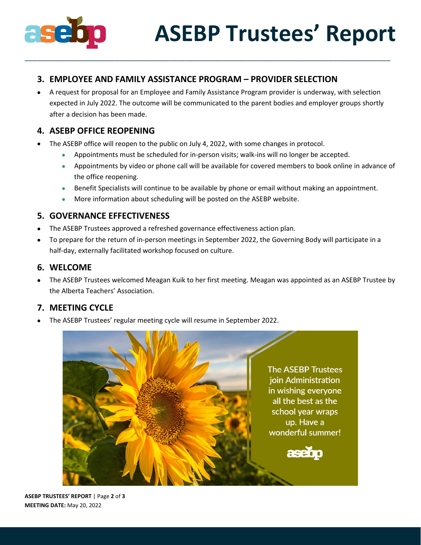

# **3. EMPLOYEE AND FAMILY ASSISTANCE PROGRAM – PROVIDER SELECTION**

• A request for proposal for an Employee and Family Assistance Program provider is underway, with selection expected in July 2022. The outcome will be communicated to the parent bodies and employer groups shortly after a decision has been made.

\_\_\_\_\_\_\_\_\_\_\_\_\_\_\_\_\_\_\_\_\_\_\_\_\_\_\_\_\_\_\_\_\_\_\_\_\_\_\_\_\_\_\_\_\_\_\_\_\_\_\_\_\_\_\_\_\_\_\_\_\_\_\_\_\_\_\_\_\_\_\_\_\_\_\_\_\_\_\_\_\_\_\_\_\_\_\_\_\_

# **4. ASEBP OFFICE REOPENING**

- The ASEBP office will reopen to the public on July 4, 2022, with some changes in protocol.
	- Appointments must be scheduled for in-person visits; walk-ins will no longer be accepted.
	- Appointments by video or phone call will be available for covered members to book online in advance of the office reopening.
	- Benefit Specialists will continue to be available by phone or email without making an appointment.
	- More information about scheduling will be posted on the ASEBP website.

# **5. GOVERNANCE EFFECTIVENESS**

- The ASEBP Trustees approved a refreshed governance effectiveness action plan.
- To prepare for the return of in-person meetings in September 2022, the Governing Body will participate in a half-day, externally facilitated workshop focused on culture.

#### **6. WELCOME**

• The ASEBP Trustees welcomed Meagan Kuik to her first meeting. Meagan was appointed as an ASEBP Trustee by the Alberta Teachers' Association.

# **7. MEETING CYCLE**

• The ASEBP Trustees' regular meeting cycle will resume in September 2022.



**ASEBP TRUSTEES' REPORT** | Page **2** of **3 MEETING DATE:** May 20, 2022